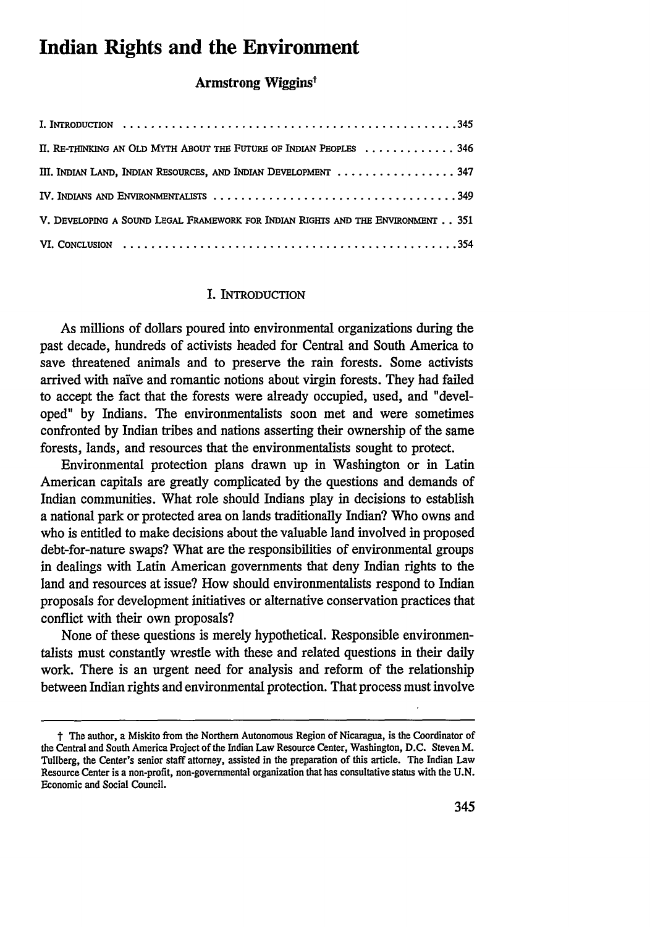# **Indian Rights and the Environment**

## Armstrong Wiggins<sup>t</sup>

| II. RE-THINKING AN OLD MYTH ABOUT THE FUTURE OF INDIAN PEOPLES  346             |
|---------------------------------------------------------------------------------|
| III. INDIAN LAND, INDIAN RESOURCES, AND INDIAN DEVELOPMENT  347                 |
|                                                                                 |
| V. DEVELOPING A SOUND LEGAL FRAMEWORK FOR INDIAN RIGHTS AND THE ENVIRONMENT 351 |
|                                                                                 |

#### I. INTRODUCTION

As millions of dollars poured into environmental organizations during the past decade, hundreds of activists headed for Central and South America to save threatened animals and to preserve the rain forests. Some activists arrived with naive and romantic notions about virgin forests. They had failed to accept the fact that the forests were already occupied, used, and "developed" by Indians. The environmentalists soon met and were sometimes confronted by Indian tribes and nations asserting their ownership of the same forests, lands, and resources that the environmentalists sought to protect.

Environmental protection plans drawn up in Washington or in Latin American capitals are greatly complicated by the questions and demands of Indian communities. What role should Indians play in decisions to establish a national park or protected area on lands traditionally Indian? Who owns and who is entitled to make decisions about the valuable land involved in proposed debt-for-nature swaps? What are the responsibilities of environmental groups in dealings with Latin American governments that deny Indian rights to the land and resources at issue? How should environmentalists respond to Indian proposals for development initiatives or alternative conservation practices that conflict with their own proposals?

None of these questions is merely hypothetical. Responsible environmentalists must constantly wrestle with these and related questions in their daily work. There is an urgent need for analysis and reform of the relationship between Indian rights and environmental protection. That process must involve

t The author, a Miskito from the Northern Autonomous Region of Nicaragua, is the Coordinator of the Central and South America Project of the Indian Law Resource Center, Washington, **D.C.** Steven M. Tullberg, the Center's senior staff attorney, assisted in the preparation of this article. The Indian Law Resource Center is a non-profit, non-governmental organization that has consultative status with the **U.N.** Economic and Social Council.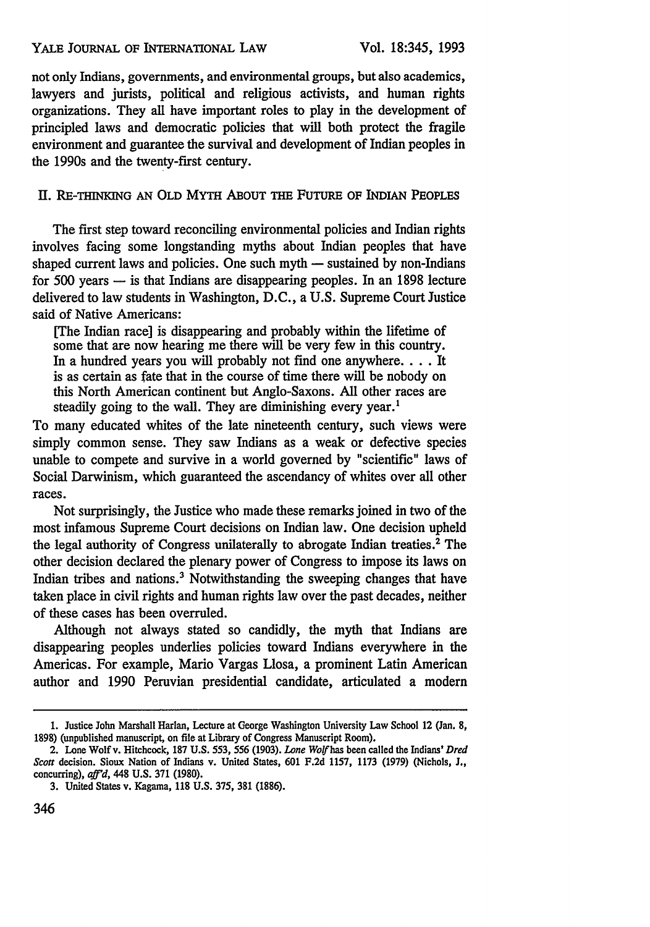#### YALE JOURNAL OF INTERNATIONAL **LAW**

not only Indians, governments, and environmental groups, but also academics, lawyers and jurists, political and religious activists, and human rights organizations. They all have important roles to play in the development of principled laws and democratic policies that will both protect the fragile environment and guarantee the survival and development of Indian peoples in the 1990s and the twenty-first century.

## Il. **RE-THINKING AN OLD** MYTH **ABOUT THE** FUTURE **OF INDIAN PEOPLES**

The first step toward reconciling environmental policies and Indian rights involves facing some longstanding myths about Indian peoples that have shaped current laws and policies. One such myth — sustained by non-Indians for 500 years  $-$  is that Indians are disappearing peoples. In an 1898 lecture delivered to law students in Washington, D.C., a U.S. Supreme Court Justice said of Native Americans:

[The Indian race] is disappearing and probably within the lifetime of some that are now hearing me there will be very few in this country. In a hundred years you will probably not find one anywhere.... It is as certain as fate that in the course of time there will be nobody on this North American continent but Anglo-Saxons. All other races are steadily going to the wall. They are diminishing every year.<sup>1</sup>

To many educated whites of the late nineteenth century, such views were simply common sense. They saw Indians as a weak or defective species unable to compete and survive in a world governed by "scientific" laws of Social Darwinism, which guaranteed the ascendancy of whites over all other races.

Not surprisingly, the Justice who made these remarks joined in two of the most infamous Supreme Court decisions on Indian law. One decision upheld the legal authority of Congress unilaterally to abrogate Indian treaties.2 The other decision declared the plenary power of Congress to impose its laws on Indian tribes and nations.<sup>3</sup> Notwithstanding the sweeping changes that have taken place in civil rights and human rights law over the past decades, neither of these cases has been overruled.

Although not always stated so candidly, the myth that Indians are disappearing peoples underlies policies toward Indians everywhere in the Americas. For example, Mario Vargas Llosa, a prominent Latin American author and 1990 Peruvian presidential candidate, articulated a modern

**<sup>1.</sup>** Justice John Marshall Harlan, Lecture at George Washington University Law School 12 (Jan. **8, 1898)** (unpublished manuscript, on file at Library of Congress Manuscript Room).

<sup>2.</sup> Lone Wolfv. Hitchcock, **187** U.S. 553, 556 (1903). *Lone Wolf has* been called the Indians' *Dred Scott* decision. Sioux Nation of Indians v. United States, 601 F.2d 1157, 1173 (1979) (Nichols, J., concurring), *af'd,* 448 U.S. 371 (1980).

**<sup>3.</sup>** United States v. Kagama, **118 U.S. 375, 381 (1886).**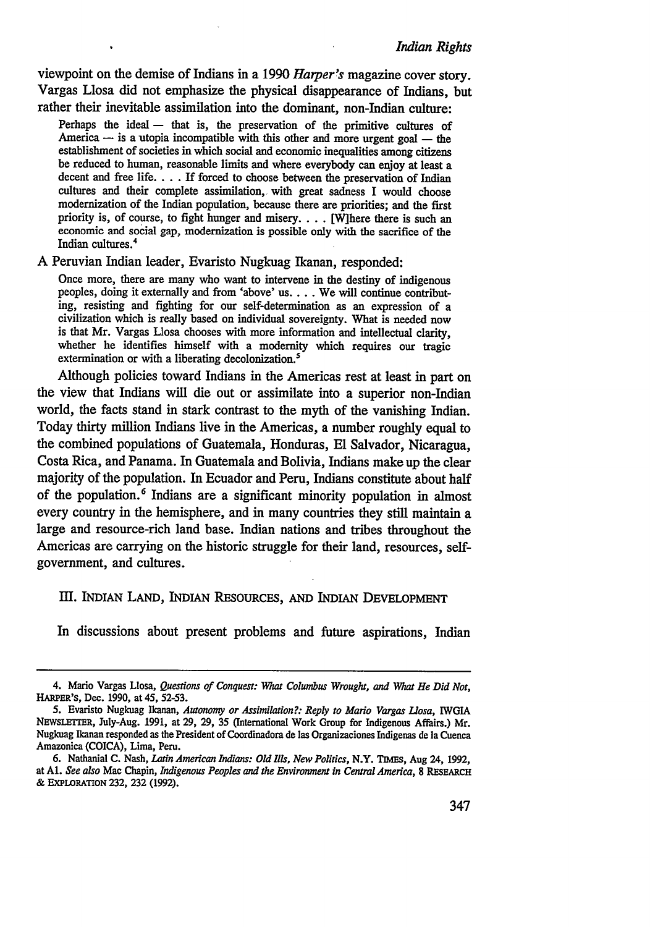viewpoint on the demise of Indians in a **1990** *Harper's* magazine cover story. Vargas Llosa did not emphasize the physical disappearance of Indians, but rather their inevitable assimilation into the dominant, non-Indian culture:

Perhaps the ideal  $-$  that is, the preservation of the primitive cultures of America  $-$  is a utopia incompatible with this other and more urgent goal  $-$  the establishment of societies in which social and economic inequalities among citizens be reduced to human, reasonable limits and where everybody can enjoy at least a decent and free life.... If forced to choose between the preservation of Indian cultures and their complete assimilation, with great sadness I would choose modernization of the Indian population, because there are priorities; and the first priority is, of course, to fight hunger and misery.... [Wihere there is such an economic and social gap, modernization is possible only with the sacrifice of the Indian cultures.<sup>4</sup>

A Peruvian Indian leader, Evaristo Nugkuag Ikanan, responded:

Once more, there are many who want to intervene in the destiny of indigenous peoples, doing it externally and from 'above' us.... We will continue contributing, resisting and fighting for our self-determination as an expression of a civilization which is really based on individual sovereignty. What is needed now is that Mr. Vargas Llosa chooses with more information and intellectual clarity, whether he identifies himself with a modernity which requires our tragic extermination or with a liberating decolonization.<sup>5</sup>

Although policies toward Indians in the Americas rest at least in part on the view that Indians will die out or assimilate into a superior non-Indian world, the facts stand in stark contrast to the myth of the vanishing Indian. Today thirty million Indians live in the Americas, a number roughly equal to the combined populations of Guatemala, Honduras, El Salvador, Nicaragua, Costa Rica, and Panama. In Guatemala and Bolivia, Indians make up the clear majority of the population. In Ecuador and Peru, Indians constitute about half of the population. 6 Indians are a significant minority population in almost every country in the hemisphere, and in many countries they still maintain a large and resource-rich land base. Indian nations and tribes throughout the Americas are carrying on the historic struggle for their land, resources, selfgovernment, and cultures.

#### ImI. INDIAN LAND, INDIAN RESouRCEs, **AND** INDIAN DEVELOPMENT

In discussions about present problems and future aspirations, Indian

<sup>4.</sup> Mario Vargas Llosa, Questions *of Conquest: What Columbus Wrought, and What He Did Not,* HARPER's, Dec. **1990,** at 45, **52-53.**

<sup>5.</sup> Evaristo Nugkuag **Ikanan,** Autonomy *or Assimilation?: Reply to Mario Vargas Llosa,* IWGIA NLrwSLETTER, July-Aug. **1991,** at **29, 29, 35** (International Work Group for Indigenous Affairs.) Mr. Nugkuag Ikanan responded as the President of Coordinadora de las Organizaciones Indigenas de **la** Cuenca Amazonica **(COICA),** Lima, Peru.

**<sup>6.</sup>** Nathanial **C.** Nash, *Latin American Indians: Old Ills, New Politics,* N.Y. **TIMEs,** Aug 24, **1992,** at **Al.** *See also* Mac Chapin, *Indigenous Peoples and the Environment in Central America,* **8** RESEARCH **& EXPLORATION 232, 232 (1992).**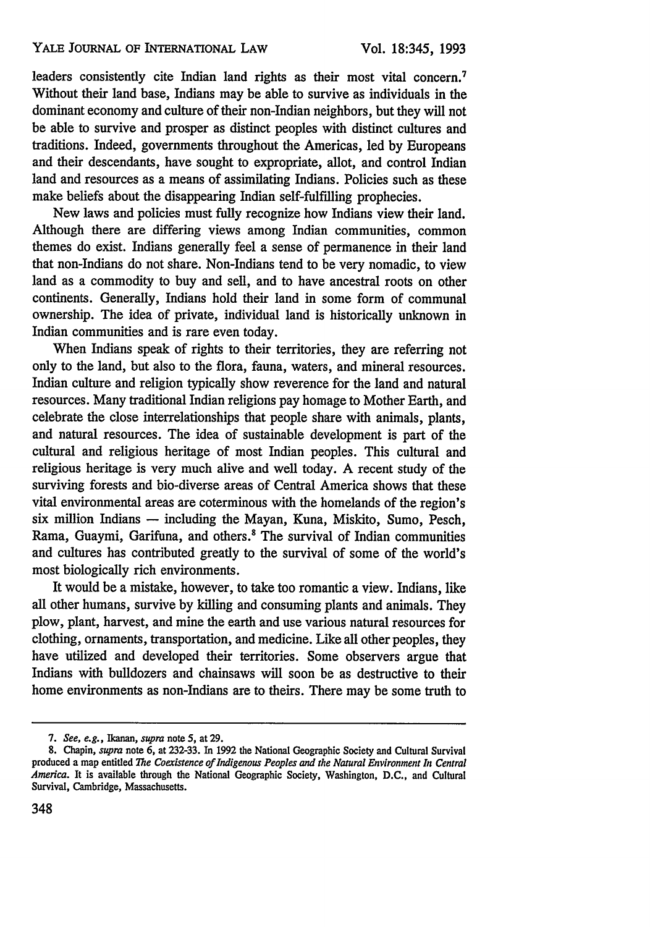leaders consistently cite Indian land rights as their most vital concern.<sup>7</sup> Without their land base, Indians may be able to survive as individuals in the dominant economy and culture of their non-Indian neighbors, but they will not be able to survive and prosper as distinct peoples with distinct cultures and traditions. Indeed, governments throughout the Americas, led by Europeans and their descendants, have sought to expropriate, allot, and control Indian land and resources as a means of assimilating Indians. Policies such as these make beliefs about the disappearing Indian self-fulfilling prophecies.

New laws and policies must fully recognize how Indians view their land. Although there are differing views among Indian communities, common themes do exist. Indians generally feel a sense of permanence in their land that non-Indians do not share. Non-Indians tend to be very nomadic, to view land as a commodity to buy and sell, and to have ancestral roots on other continents. Generally, Indians hold their land in some form of communal ownership. The idea of private, individual land is historically unknown in Indian communities and is rare even today.

When Indians speak of rights to their territories, they are referring not only to the land, but also to the flora, fauna, waters, and mineral resources. Indian culture and religion typically show reverence for the land and natural resources. Many traditional Indian religions pay homage to Mother Earth, and celebrate the close interrelationships that people share with animals, plants, and natural resources. The idea of sustainable development is part of the cultural and religious heritage of most Indian peoples. This cultural and religious heritage is very much alive and well today. A recent study of the surviving forests and bio-diverse areas of Central America shows that these vital environmental areas are coterminous with the homelands of the region's six million Indians **-** including the Mayan, Kuna, Miskito, Sumo, Pesch, Rama, Guaymi, Garifuna, and others.' The survival of Indian communities and cultures has contributed greatly to the survival of some of the world's most biologically rich environments.

It would be a mistake, however, to take too romantic a view. Indians, like all other humans, survive by killing and consuming plants and animals. They plow, plant, harvest, and mine the earth and use various natural resources for clothing, ornaments, transportation, and medicine. Like all other peoples, they have utilized and developed their territories. Some observers argue that Indians with bulldozers and chainsaws will soon be as destructive to their home environments as non-Indians are to theirs. There may be some truth to

*<sup>7.</sup> See, e.g., Ikanan, supra* note 5, at 29.

**<sup>8.</sup>** Chapin, *supra* note **6,** at **232-33.** In 1992 the National Geographic Society and Cultural Survival produced a map entitled *The Coexistence of Indigenous Peoples and the Natural Environment In Central America.* It is available through the National Geographic Society, Washington, **D.C.,** and Cultural Survival, Cambridge, Massachusetts.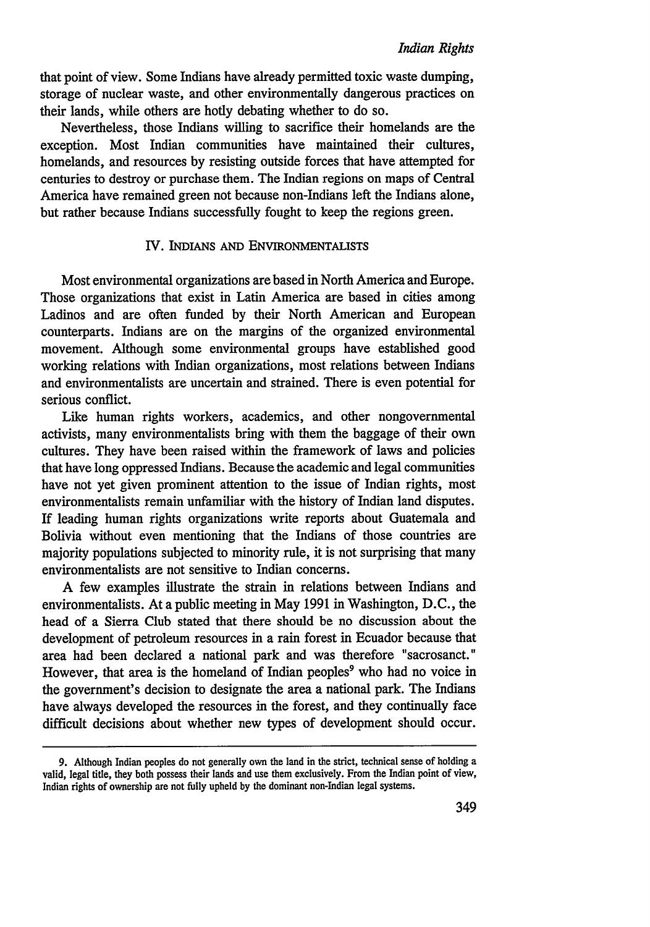that point of view. Some Indians have already permitted toxic waste dumping, storage of nuclear waste, and other environmentally dangerous practices on their lands, while others are hotly debating whether to do so.

Nevertheless, those Indians willing to sacrifice their homelands are the exception. Most Indian communities have maintained their cultures, homelands, and resources by resisting outside forces that have attempted for centuries to destroy or purchase them. The Indian regions on maps of Central America have remained green not because non-Indians left the Indians alone, but rather because Indians successfully fought to keep the regions green.

### IV. INDIANS **AND** ENVIRONMENTALISTS

Most environmental organizations are based in North America and Europe. Those organizations that exist in Latin America are based in cities among Ladinos and are often funded **by** their North American and European counterparts. Indians are on the margins of the organized environmental movement. Although some environmental groups have established good working relations with Indian organizations, most relations between Indians and environmentalists are uncertain and strained. There is even potential for serious conflict.

Like human rights workers, academics, and other nongovernmental activists, many environmentalists bring with them the baggage of their own cultures. They have been raised within the framework of laws and policies that have long oppressed Indians. Because the academic and legal communities have not yet given prominent attention to the issue of Indian rights, most environmentalists remain unfamiliar with the history of Indian land disputes. If leading human rights organizations write reports about Guatemala and Bolivia without even mentioning that the Indians of those countries are majority populations subjected to minority rule, it is not surprising that many environmentalists are not sensitive to Indian concerns.

A few examples illustrate the strain in relations between Indians and environmentalists. At a public meeting in May 1991 in Washington, D.C., the head of a Sierra Club stated that there should be no discussion about the development of petroleum resources in a rain forest in Ecuador because that area had been declared a national park and was therefore "sacrosanct." However, that area is the homeland of Indian peoples<sup>9</sup> who had no voice in the government's decision to designate the area a national park. The Indians have always developed the resources in the forest, and they continually face difficult decisions about whether new types of development should occur.

**<sup>9.</sup>** Although Indian peoples do not generally own the land in the strict, technical sense of holding a valid, legal title, they both possess their lands and use them exclusively. From the Indian point of view, Indian rights of ownership are not fully upheld by the dominant non-Indian legal systems.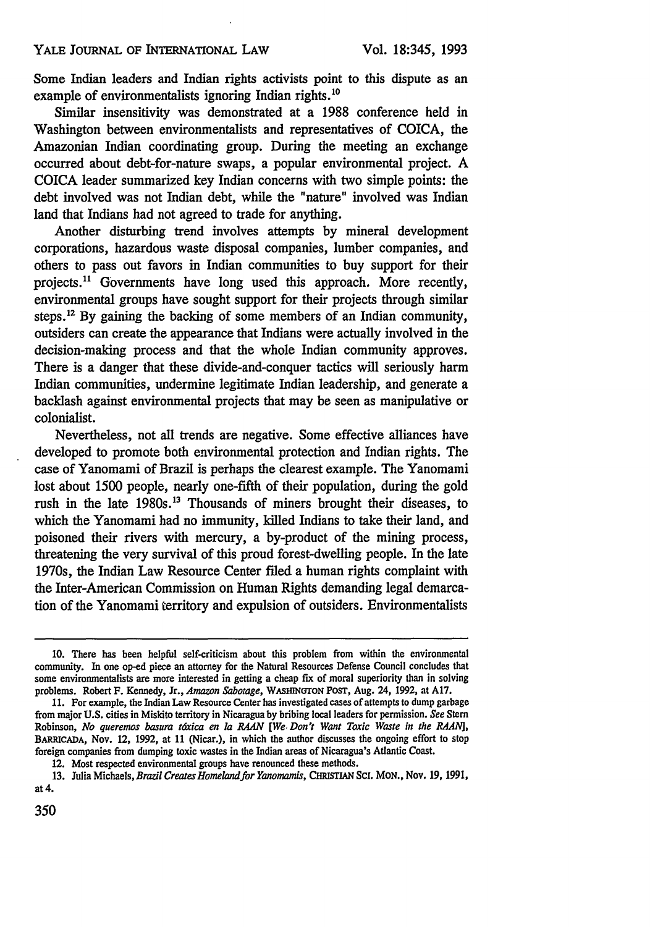Some Indian leaders and Indian rights activists point to this dispute as an example of environmentalists ignoring Indian rights.<sup>10</sup>

Similar insensitivity was demonstrated at a 1988 conference held in Washington between environmentalists and representatives of COICA, the Amazonian Indian coordinating group. During the meeting an exchange occurred about debt-for-nature swaps, a popular environmental project. A COICA leader summarized key Indian concerns with two simple points: the debt involved was not Indian debt, while the "nature" involved was Indian land that Indians had not agreed to trade for anything.

Another disturbing trend involves attempts by mineral development corporations, hazardous waste disposal companies, lumber companies, and others to pass out favors in Indian communities to buy support for their projects.<sup>11</sup> Governments have long used this approach. More recently, environmental groups have sought support for their projects through similar steps.<sup>12</sup> By gaining the backing of some members of an Indian community, outsiders can create the appearance that Indians were actually involved in the decision-making process and that the whole Indian community approves. There is a danger that these divide-and-conquer tactics will seriously harm Indian communities, undermine legitimate Indian leadership, and generate a backlash against environmental projects that may be seen as manipulative or colonialist.

Nevertheless, not all trends are negative. Some effective alliances have developed to promote both environmental protection and Indian rights. The case of Yanomami of Brazil is perhaps the clearest example. The Yanomami lost about 1500 people, nearly one-fifth of their population, during the gold rush in the late 1980s.<sup>13</sup> Thousands of miners brought their diseases, to which the Yanomami had no immunity, killed Indians to take their land, and poisoned their rivers with mercury, a by-product of the mining process, threatening the very survival of this proud forest-dwelling people. In the late 1970s, the Indian Law Resource Center filed a human rights complaint with the Inter-American Commission on Human Rights demanding legal demarcation of the Yanomami territory and expulsion of outsiders. Environmentalists

350

**<sup>10.</sup>** There has been helpful self-criticism about this problem from within the environmental community. In one op-ed piece an attorney for the Natural Resources Defense Council concludes that some environmentalists are more interested in getting a cheap fix of moral superiority than in solving problems. Robert F. Kennedy, Jr., *Amazon Sabotage,* WAsHmNToN **POST,** Aug. 24, 1992, at A17.

<sup>11.</sup> For example, the Indian Law Resource Center has investigated cases of attempts to dump garbage from major **U.S.** cities in Miskito territory in Nicaragua by bribing local leaders for permission. *See* Stem Robinson, *No queremos basura t6xica en la RAAN [We, Don't Want Toxic Waste in the RAANJ,* **BARCADA,** Nov. 12, 1992, at 11 (Nicar.), in which the author discusses the ongoing effort to stop foreign companies from dumping toxic wastes in the Indian areas of Nicaragua's Atlantic Coast.

<sup>12.</sup> Most respected environmental groups have renounced these methods.

<sup>13.</sup> Julia Michaels, *Brazil Creates Homeland for Yanomamis*, CHRISTIAN SCI. MON., Nov. 19, 1991, at 4.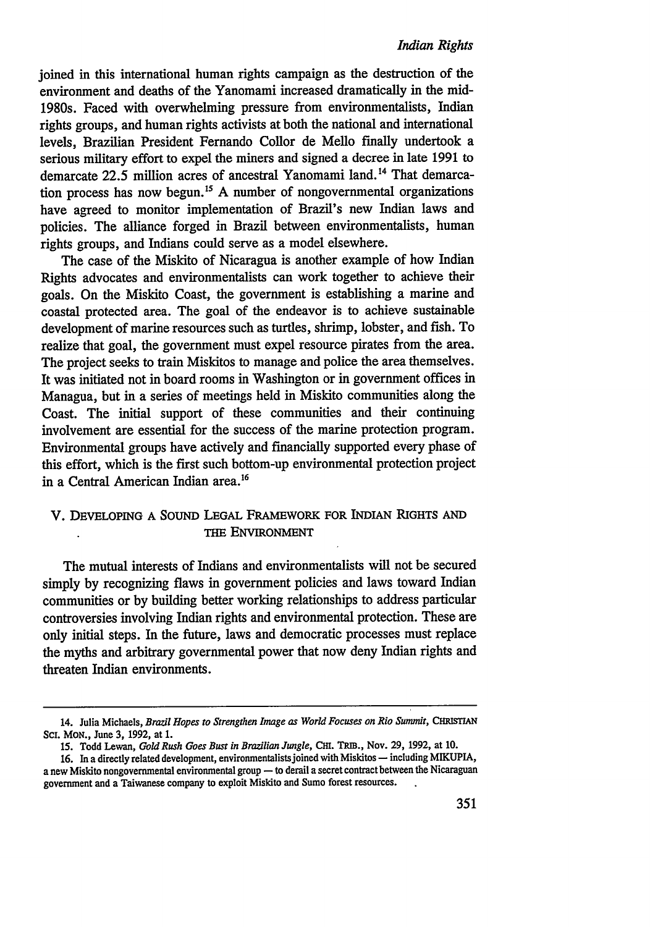joined in this international human rights campaign as the destruction of the environment and deaths of the Yanomami increased dramatically in the mid-1980s. Faced with overwhelming pressure from environmentalists, Indian rights groups, and human rights activists at both the national and international levels, Brazilian President Fernando Collor de Mello finally undertook a serious military effort to expel the miners and signed a decree in late 1991 to demarcate 22.5 million acres of ancestral Yanomami land.<sup>14</sup> That demarcation process has now begun.<sup>15</sup> A number of nongovernmental organizations have agreed to monitor implementation of Brazil's new Indian laws and policies. The alliance forged in Brazil between environmentalists, human rights groups, and Indians could serve as a model elsewhere.

The case of the Miskito of Nicaragua is another example of how Indian Rights advocates and environmentalists can work together to achieve their goals. On the Miskito Coast, the government is establishing a marine and coastal protected area. The goal of the endeavor is to achieve sustainable development of marine resources such as turtles, shrimp, lobster, and fish. To realize that goal, the government must expel resource pirates from the area. The project seeks to train Miskitos to manage and police the area themselves. It was initiated not in board rooms in Washington or in government offices in Managua, but in a series of meetings held in Miskito communities along the Coast. The initial support of these communities and their continuing involvement are essential for the success of the marine protection program. Environmental groups have actively and financially supported every phase of this effort, which is the first such bottom-up environmental protection project in a Central American Indian area.<sup>16</sup>

# V. DEVELOPING **A** SOUND **LEGAL FRAMEWORK FOR INDIAN** RIGHTS **AND** THE ENVIRONMENT

The mutual interests of Indians and environmentalists will not be secured simply by recognizing flaws in government policies and laws toward Indian communities or by building better working relationships to address particular controversies involving Indian rights and environmental protection. These are only initial steps. In the future, laws and democratic processes must replace the myths and arbitrary governmental power that now deny Indian rights and threaten Indian environments.

<sup>14.</sup> Julia Michaels, *Brazil Hopes to Strengthen Image as World Focuses on Rio Summit*, CHRISTIAN **SC.** MoN., June 3, 1992, at 1.

<sup>15.</sup> Todd Lewan, *Gold Rush Goes Bust in Brazilian Jungle*, CHI. TRIB., Nov. 29, 1992, at 10.

**<sup>16.</sup>** In a directly related development, environmentalists joined with Miskitos **-** including MIKUPIA, a new Miskito nongovernmental environmental group **-** to derail a secret contract between the Nicaraguan government and a Taiwanese company to exploit Miskito and Sumo forest resources.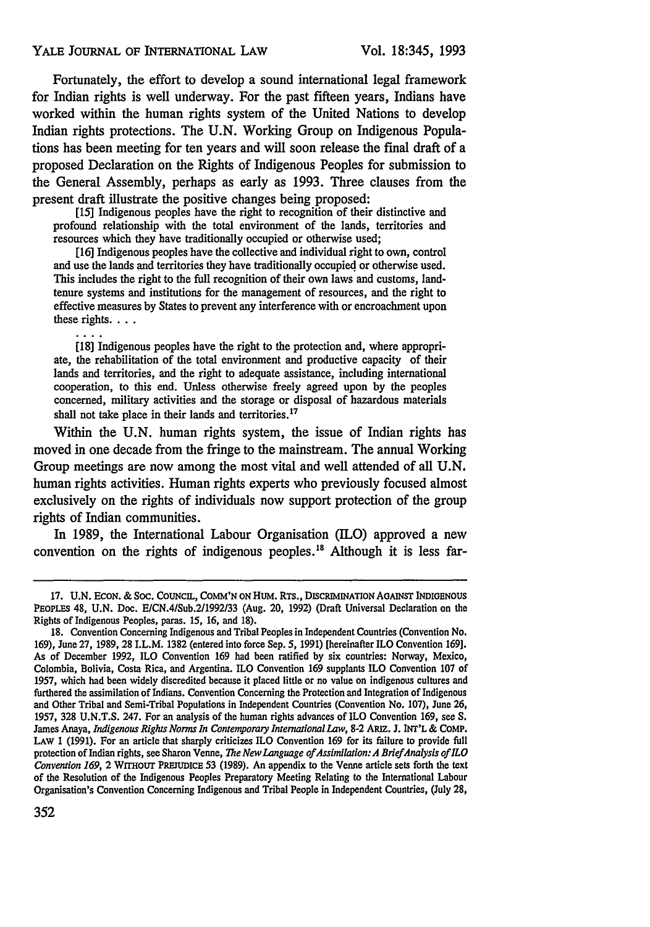#### YALE JOURNAL OF INTERNATIONAL LAW

. . .

Fortunately, the effort to develop a sound international legal framework for Indian rights is well underway. For the past fifteen years, Indians have worked within the human rights system of the United Nations to develop Indian rights protections. The U.N. Working Group on Indigenous Populations has been meeting for ten years and will soon release the final draft of a proposed Declaration on the Rights of Indigenous Peoples for submission to the General Assembly, perhaps as early as 1993. Three clauses from the present draft illustrate the positive changes being proposed:

[15] Indigenous peoples have the right to recognition of their distinctive and profound relationship with the total environment of the lands, territories and resources which they have traditionally occupied or otherwise used;

[16] Indigenous peoples have the collective and individual right to own, control and use the lands and territories they have traditionally occupied or otherwise used. This includes the right to the full recognition of their own laws and customs, landtenure systems and institutions for the management of resources, and the right to effective measures by States to prevent any interference with or encroachment upon these rights....

[18] Indigenous peoples have the right to the protection and, where appropriate, the rehabilitation of the total environment and productive capacity of their lands and territories, and the right to adequate assistance, including international cooperation, to this end. Unless otherwise freely agreed upon by the peoples concerned, military activities and the storage or disposal of hazardous materials shall not take place in their lands and territories.<sup>17</sup>

Within the **U.N.** human rights system, the issue of Indian rights has moved in one decade from the fringe to the mainstream. The annual Working Group meetings are now among the most vital and well attended of all **U.N.** human rights activities. Human rights experts who previously focused almost exclusively on the rights of individuals now support protection of the group rights of Indian communities.

In **1989,** the International Labour Organisation (ILO) approved a new convention on the rights of indigenous peoples.<sup>18</sup> Although it is less far-

<sup>17.</sup> U.N. ECON. & SOC. COUNCIL, COMM'N ON HUM. RTS., DISCRIMINATION AGAINST INDIGENOUS PEOPLES 48, U.N. Doc. E/CN.4/Sub.2/1992/33 (Aug. 20, **1992)** (Draft Universal Declaration on the Rights of Indigenous Peoples, paras. 15, 16, and 18).

<sup>18.</sup> Convention Concerning Indigenous and Tribal Peoples in Independent Countries (Convention No. **169),** June **27, 1989,** 28 I.L.M. 1382 (entered into force Sep. *5,* **1991)** [hereinafter ILO Convention 169]. As of December **1992,** ILO Convention 169 had been ratified by six countries: Norway, Mexico, Colombia, Bolivia, Costa Rica, and Argentina. ILO Convention **169** supplants ILO Convention 107 of 1957, which had been widely discredited because it placed little or no value on indigenous cultures and furthered the assimilation of Indians. Convention Concerning the Protection and Integration of Indigenous and Other Tribal and Semi-Tribal Populations in Independent Countries (Convention No. 107), June **26,** 1957, **328** U.N.T.S. 247. For an analysis of the human rights advances of ILO Convention 169, see S. James Anaya, *Indigenous Rights Norms In Contemporary International Law,* **8-2** ARiz. **J.** INT'L & COMP. LAW 1 **(1991).** For an article that sharply criticizes ILO Convention **169** for its failure to provide full protection of Indian rights, see Sharon Venne, *The NewLanguage of Assimilaion:A BriefAnalysis ofILO Convention 169, 2 WITHOUT PREJUDICE 53 (1989). An appendix to the Venne article sets forth the text* of the Resolution of the Indigenous Peoples Preparatory Meeting Relating to the International Labour Organisation's Convention Concerning Indigenous and Tribal People in Independent Countries, (July **28,**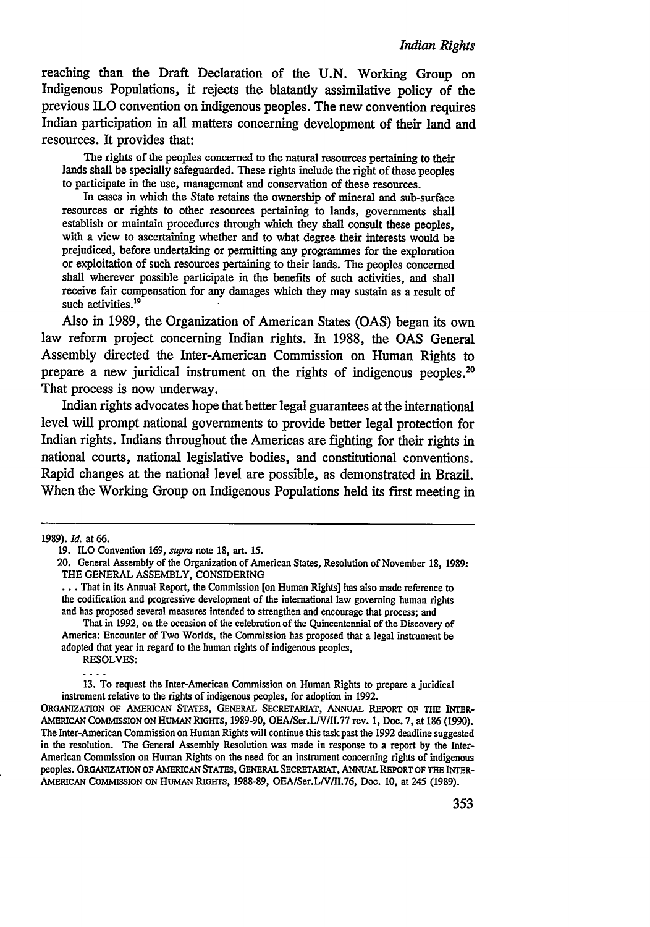reaching than the Draft Declaration of the **U.N.** Working Group on Indigenous Populations, it rejects the blatantly assimilative policy of the previous ILO convention on indigenous peoples. The new convention requires Indian participation in all matters concerning development of their land and resources. It provides that:

The rights of the peoples concerned to the natural resources pertaining to their lands shall be specially safeguarded. These rights include the right of these peoples to participate in the use, management and conservation of these resources.

In cases in which the State retains the ownership of mineral and sub-surface resources or rights to other resources pertaining to lands, governments shall establish or maintain procedures through which they shall consult these peoples, with a view to ascertaining whether and to what degree their interests would be prejudiced, before undertaking or permitting any programmes for the exploration or exploitation of such resources pertaining to their lands. The peoples concerned shall wherever possible participate in the benefits of such activities, and shall receive fair compensation for any damages which they may sustain as a result of such activities.<sup>19</sup>

Also in 1989, the Organization of American States (OAS) began its own law reform project concerning Indian rights. In 1988, the OAS General Assembly directed the Inter-American Commission on Human Rights to prepare a new juridical instrument on the rights of indigenous peoples.<sup>20</sup> That process is now underway.

Indian rights advocates hope that better legal guarantees at the international level will prompt national governments to provide better legal protection for Indian rights. Indians throughout the Americas are fighting for their rights in national courts, national legislative bodies, and constitutional conventions. Rapid changes at the national level are possible, as demonstrated in Brazil. When the Working Group on Indigenous Populations held its first meeting in

13. To request the Inter-American Commission on Human Rights to prepare a juridical instrument relative to the rights of indigenous peoples, for adoption in 1992.

ORGANIZATION OF AMERICAN STATES, GENERAL SECRETARIAT, ANNUAL REPORT OF THE INTER-AMERIcAN COMMIssION ON HUMAN RIGHTS, 1989-90, OEA/Ser.LV/II.77 rev. **1,** Doc. 7, at 186 (1990). The Inter-American Commission on Human Rights will continue this task past the 1992 deadline suggested in the resolution. The General Assembly Resolution was made in response to a report by the Inter-American Commission on Human Rights on the need for an instrument concerning rights of indigenous peoples. ORGANIZATION OF AMERICAN STATES, **GENERAL** SECRETARIAT, ANNUAL REPORT OF **THE** INTER-AMERIcAN **COMMISSION ON** HUMAN **RIGHTS, 1988-89,** OEA/Ser.L/V/II.76, Doc. **10,** at 245 **(1989).**

<sup>1989).</sup> *Id.* at 66.

<sup>19.</sup> ILO Convention 169, *supra* note 18, art. 15.

<sup>20.</sup> General Assembly of the Organization of American States, Resolution of November 18, 1989: THE GENERAL ASSEMBLY, CONSIDERING

That in its Annual Report, the Commission [on Human Rights] has also made reference to the **codification** and progressive development of the international law governing human rights and has proposed several measures intended to strengthen and encourage that process; and

That in 1992, on the occasion of the celebration of the Quincentennial of the Discovery of America: Encounter of Two Worlds, the Commission has proposed that a legal instrument be adopted that year in regard to the human rights of indigenous peoples, RESOLVES: